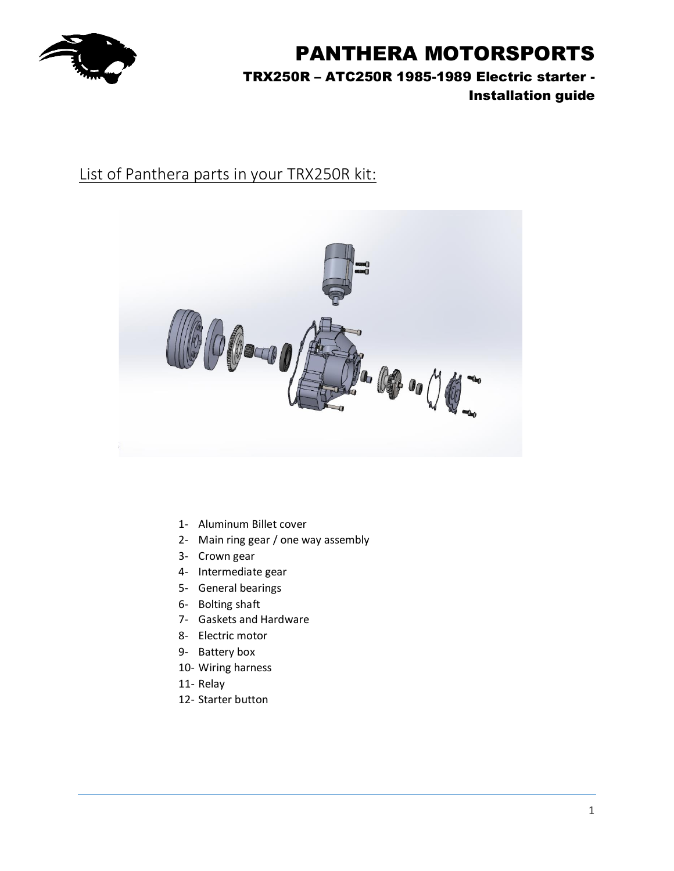

TRX250R – ATC250R 1985-1989 Electric starter - Installation guide

## List of Panthera parts in your TRX250R kit:



- 1- Aluminum Billet cover
- 2- Main ring gear / one way assembly
- 3- Crown gear
- 4- Intermediate gear
- 5- General bearings
- 6- Bolting shaft
- 7- Gaskets and Hardware
- 8- Electric motor
- 9- Battery box
- 10- Wiring harness
- 11- Relay
- 12- Starter button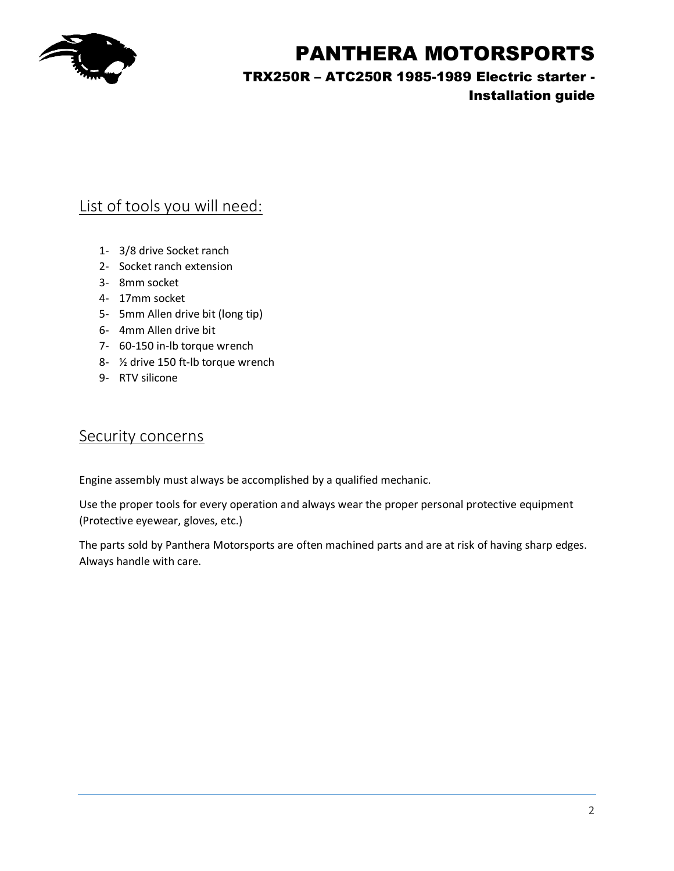

TRX250R – ATC250R 1985-1989 Electric starter -

### Installation guide

## List of tools you will need:

- 1- 3/8 drive Socket ranch
- 2- Socket ranch extension
- 3- 8mm socket
- 4- 17mm socket
- 5- 5mm Allen drive bit (long tip)
- 6- 4mm Allen drive bit
- 7- 60-150 in-lb torque wrench
- 8- ½ drive 150 ft-lb torque wrench
- 9- RTV silicone

### Security concerns

Engine assembly must always be accomplished by a qualified mechanic.

Use the proper tools for every operation and always wear the proper personal protective equipment (Protective eyewear, gloves, etc.)

The parts sold by Panthera Motorsports are often machined parts and are at risk of having sharp edges. Always handle with care.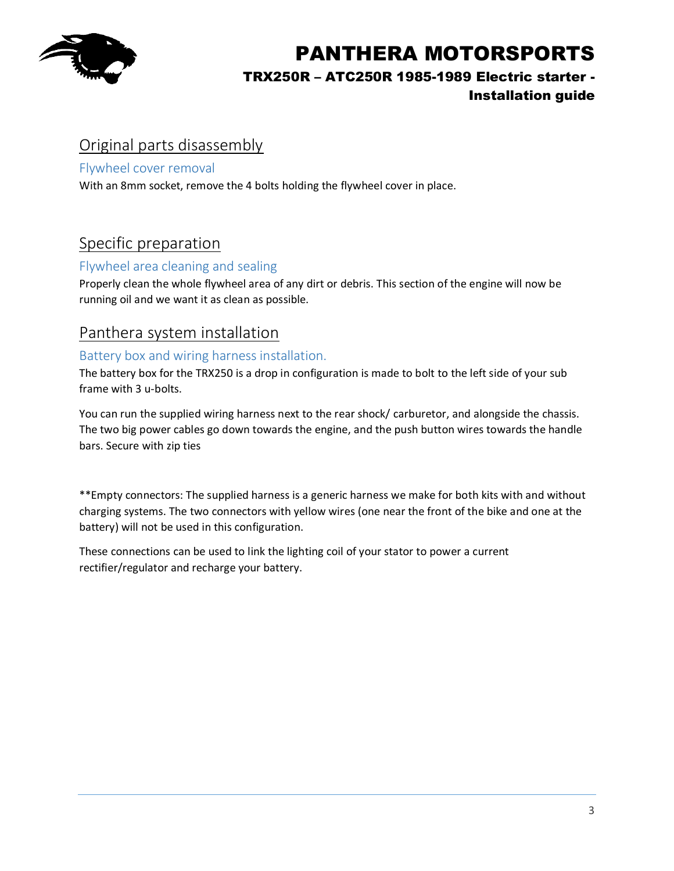

## TRX250R – ATC250R 1985-1989 Electric starter -

### Installation guide

## Original parts disassembly

### Flywheel cover removal

With an 8mm socket, remove the 4 bolts holding the flywheel cover in place.

## Specific preparation

### Flywheel area cleaning and sealing

Properly clean the whole flywheel area of any dirt or debris. This section of the engine will now be running oil and we want it as clean as possible.

### Panthera system installation

#### Battery box and wiring harness installation.

The battery box for the TRX250 is a drop in configuration is made to bolt to the left side of your sub frame with 3 u-bolts.

You can run the supplied wiring harness next to the rear shock/ carburetor, and alongside the chassis. The two big power cables go down towards the engine, and the push button wires towards the handle bars. Secure with zip ties

\*\*Empty connectors: The supplied harness is a generic harness we make for both kits with and without charging systems. The two connectors with yellow wires (one near the front of the bike and one at the battery) will not be used in this configuration.

These connections can be used to link the lighting coil of your stator to power a current rectifier/regulator and recharge your battery.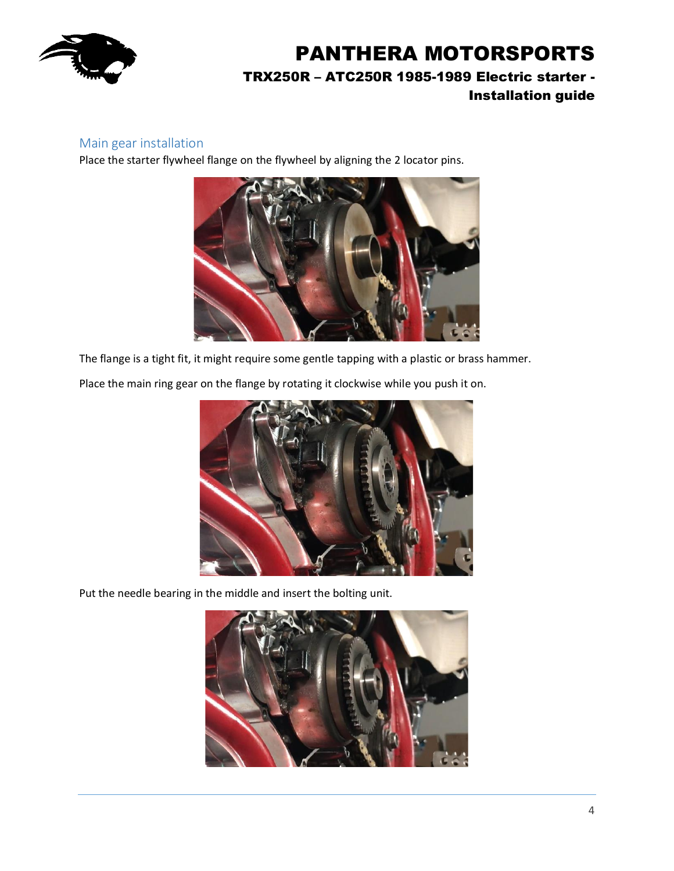

#### Main gear installation

Place the starter flywheel flange on the flywheel by aligning the 2 locator pins.



The flange is a tight fit, it might require some gentle tapping with a plastic or brass hammer.

Place the main ring gear on the flange by rotating it clockwise while you push it on.



Put the needle bearing in the middle and insert the bolting unit.

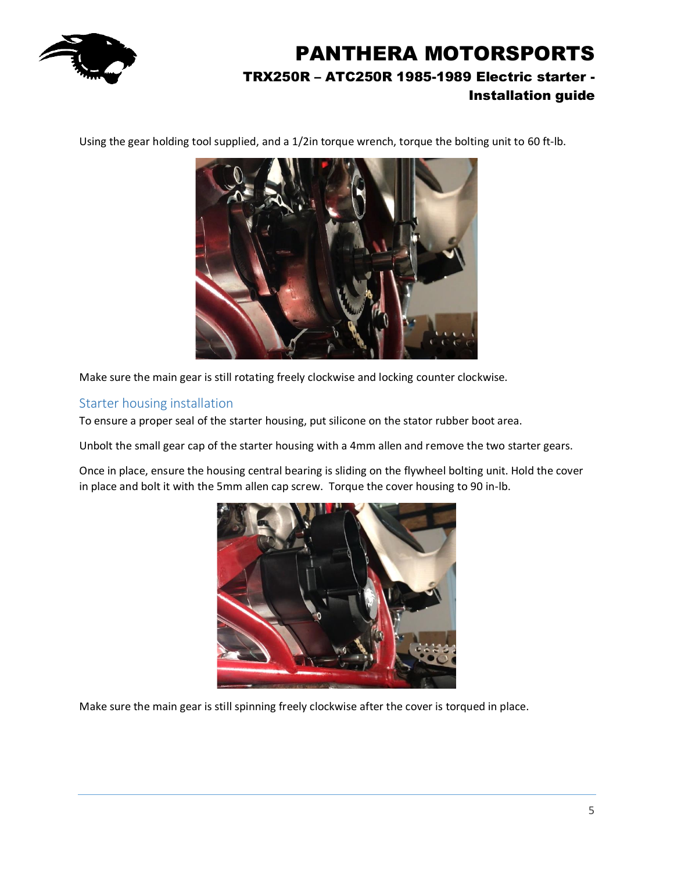

Using the gear holding tool supplied, and a 1/2in torque wrench, torque the bolting unit to 60 ft-lb.



Make sure the main gear is still rotating freely clockwise and locking counter clockwise.

#### Starter housing installation

To ensure a proper seal of the starter housing, put silicone on the stator rubber boot area.

Unbolt the small gear cap of the starter housing with a 4mm allen and remove the two starter gears.

Once in place, ensure the housing central bearing is sliding on the flywheel bolting unit. Hold the cover in place and bolt it with the 5mm allen cap screw. Torque the cover housing to 90 in-lb.



Make sure the main gear is still spinning freely clockwise after the cover is torqued in place.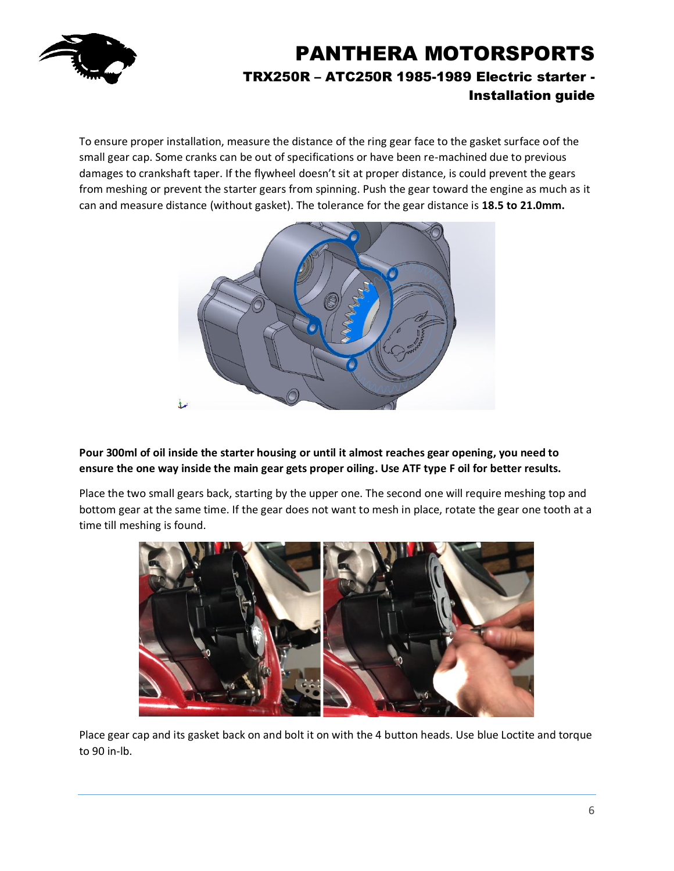

To ensure proper installation, measure the distance of the ring gear face to the gasket surface oof the small gear cap. Some cranks can be out of specifications or have been re-machined due to previous damages to crankshaft taper. If the flywheel doesn't sit at proper distance, is could prevent the gears from meshing or prevent the starter gears from spinning. Push the gear toward the engine as much as it can and measure distance (without gasket). The tolerance for the gear distance is **18.5 to 21.0mm.**



#### **Pour 300ml of oil inside the starter housing or until it almost reaches gear opening, you need to ensure the one way inside the main gear gets proper oiling. Use ATF type F oil for better results.**

Place the two small gears back, starting by the upper one. The second one will require meshing top and bottom gear at the same time. If the gear does not want to mesh in place, rotate the gear one tooth at a time till meshing is found.



Place gear cap and its gasket back on and bolt it on with the 4 button heads. Use blue Loctite and torque to 90 in-lb.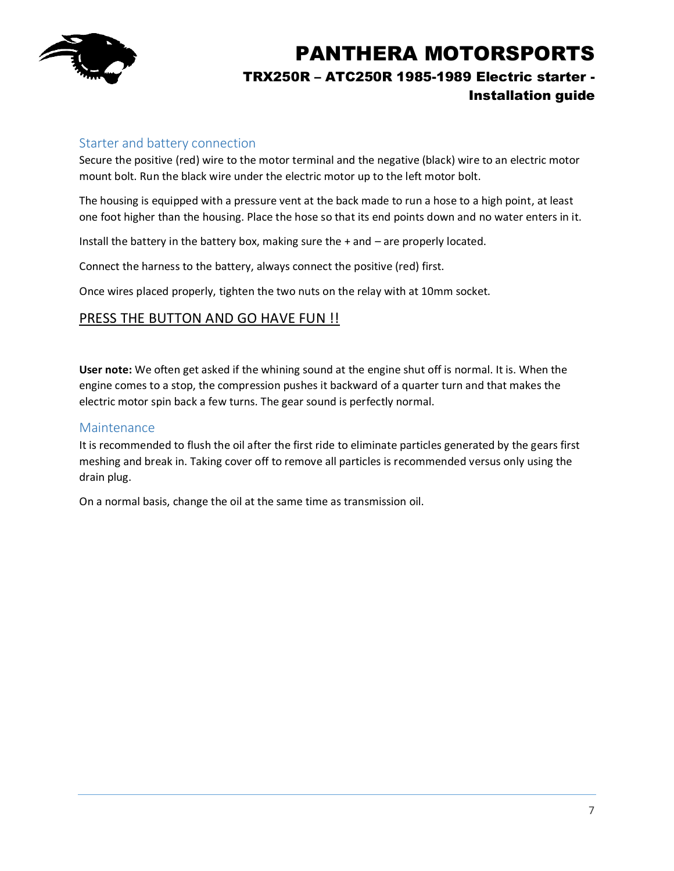

#### Starter and battery connection

Secure the positive (red) wire to the motor terminal and the negative (black) wire to an electric motor mount bolt. Run the black wire under the electric motor up to the left motor bolt.

The housing is equipped with a pressure vent at the back made to run a hose to a high point, at least one foot higher than the housing. Place the hose so that its end points down and no water enters in it.

Install the battery in the battery box, making sure the + and – are properly located.

Connect the harness to the battery, always connect the positive (red) first.

Once wires placed properly, tighten the two nuts on the relay with at 10mm socket.

#### PRESS THE BUTTON AND GO HAVE FUN !!

**User note:** We often get asked if the whining sound at the engine shut off is normal. It is. When the engine comes to a stop, the compression pushes it backward of a quarter turn and that makes the electric motor spin back a few turns. The gear sound is perfectly normal.

#### Maintenance

It is recommended to flush the oil after the first ride to eliminate particles generated by the gears first meshing and break in. Taking cover off to remove all particles is recommended versus only using the drain plug.

On a normal basis, change the oil at the same time as transmission oil.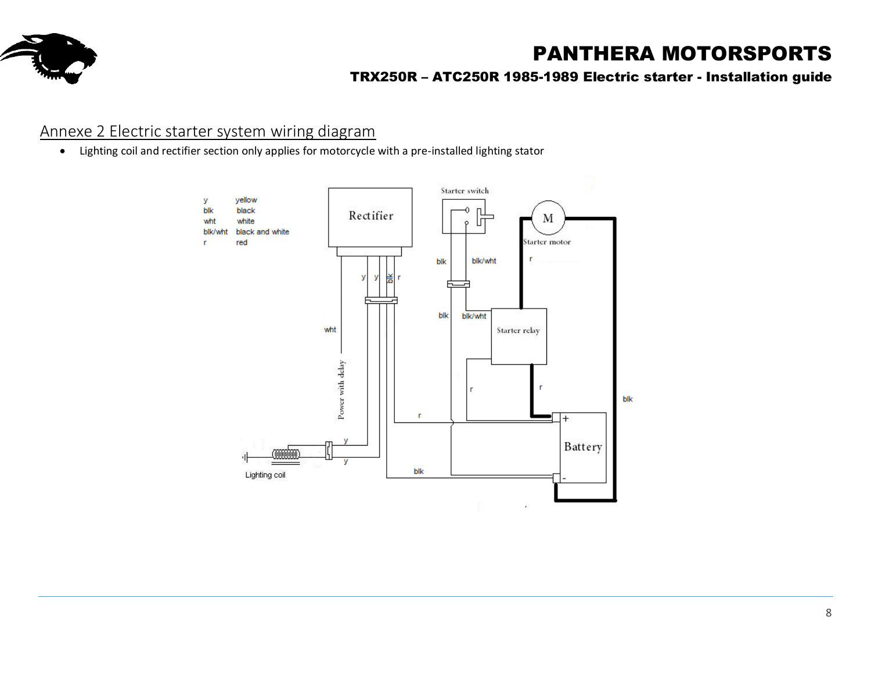

### TRX250R – ATC250R 1985-1989 Electric starter - Installation guide

## Annexe 2 Electric starter system wiring diagram

• Lighting coil and rectifier section only applies for motorcycle with a pre-installed lighting stator

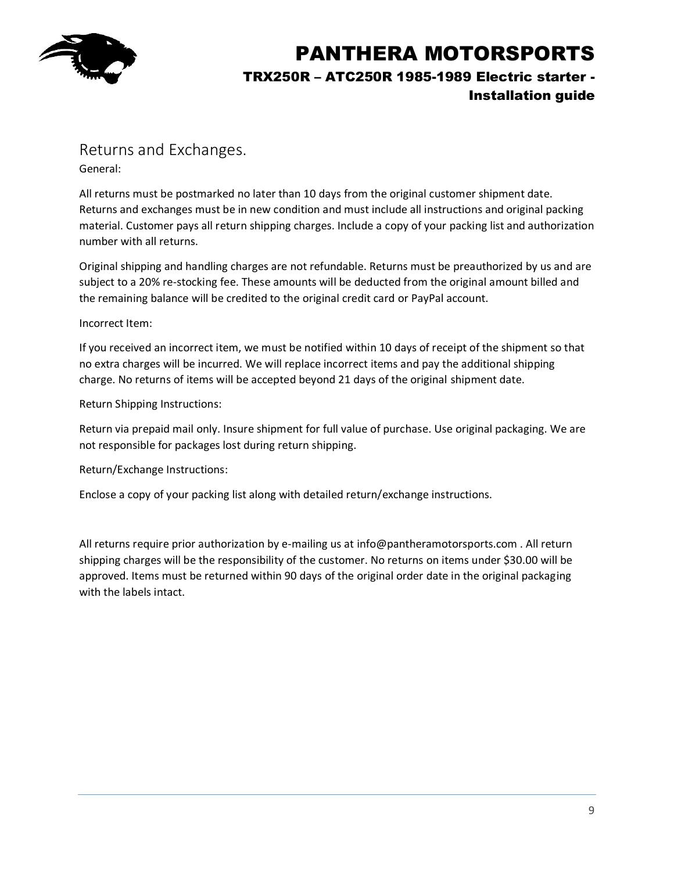

### Returns and Exchanges.

General:

All returns must be postmarked no later than 10 days from the original customer shipment date. Returns and exchanges must be in new condition and must include all instructions and original packing material. Customer pays all return shipping charges. Include a copy of your packing list and authorization number with all returns.

Original shipping and handling charges are not refundable. Returns must be preauthorized by us and are subject to a 20% re-stocking fee. These amounts will be deducted from the original amount billed and the remaining balance will be credited to the original credit card or PayPal account.

#### Incorrect Item:

If you received an incorrect item, we must be notified within 10 days of receipt of the shipment so that no extra charges will be incurred. We will replace incorrect items and pay the additional shipping charge. No returns of items will be accepted beyond 21 days of the original shipment date.

Return Shipping Instructions:

Return via prepaid mail only. Insure shipment for full value of purchase. Use original packaging. We are not responsible for packages lost during return shipping.

Return/Exchange Instructions:

Enclose a copy of your packing list along with detailed return/exchange instructions.

All returns require prior authorization by e-mailing us at info@pantheramotorsports.com . All return shipping charges will be the responsibility of the customer. No returns on items under \$30.00 will be approved. Items must be returned within 90 days of the original order date in the original packaging with the labels intact.